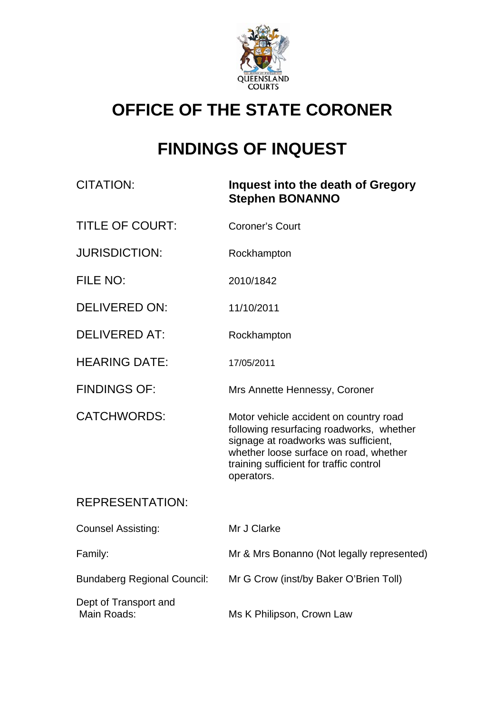

## **OFFICE OF THE STATE CORONER**

# **FINDINGS OF INQUEST**

| <b>CITATION:</b>                     | Inquest into the death of Gregory<br><b>Stephen BONANNO</b>                                                                                                                                                                   |
|--------------------------------------|-------------------------------------------------------------------------------------------------------------------------------------------------------------------------------------------------------------------------------|
| <b>TITLE OF COURT:</b>               | <b>Coroner's Court</b>                                                                                                                                                                                                        |
| <b>JURISDICTION:</b>                 | Rockhampton                                                                                                                                                                                                                   |
| FILE NO:                             | 2010/1842                                                                                                                                                                                                                     |
| <b>DELIVERED ON:</b>                 | 11/10/2011                                                                                                                                                                                                                    |
| <b>DELIVERED AT:</b>                 | Rockhampton                                                                                                                                                                                                                   |
| <b>HEARING DATE:</b>                 | 17/05/2011                                                                                                                                                                                                                    |
| <b>FINDINGS OF:</b>                  | Mrs Annette Hennessy, Coroner                                                                                                                                                                                                 |
| <b>CATCHWORDS:</b>                   | Motor vehicle accident on country road<br>following resurfacing roadworks, whether<br>signage at roadworks was sufficient,<br>whether loose surface on road, whether<br>training sufficient for traffic control<br>operators. |
| <b>REPRESENTATION:</b>               |                                                                                                                                                                                                                               |
| <b>Counsel Assisting:</b>            | Mr J Clarke                                                                                                                                                                                                                   |
| Family:                              | Mr & Mrs Bonanno (Not legally represented)                                                                                                                                                                                    |
| <b>Bundaberg Regional Council:</b>   | Mr G Crow (inst/by Baker O'Brien Toll)                                                                                                                                                                                        |
| Dept of Transport and<br>Main Roads: | Ms K Philipson, Crown Law                                                                                                                                                                                                     |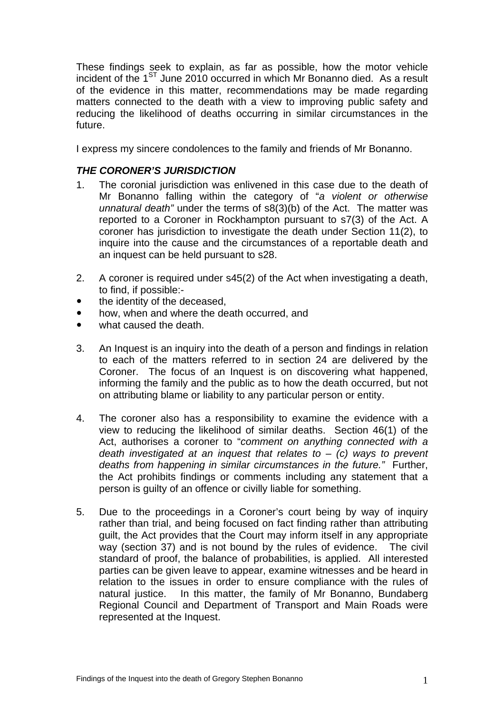These findings seek to explain, as far as possible, how the motor vehicle incident of the  $1^{ST}$  June 2010 occurred in which Mr Bonanno died. As a result of the evidence in this matter, recommendations may be made regarding matters connected to the death with a view to improving public safety and reducing the likelihood of deaths occurring in similar circumstances in the future.

I express my sincere condolences to the family and friends of Mr Bonanno.

### *THE CORONER'S JURISDICTION*

- 1. The coronial jurisdiction was enlivened in this case due to the death of Mr Bonanno falling within the category of "*a violent or otherwise unnatural death"* under the terms of s8(3)(b) of the Act. The matter was reported to a Coroner in Rockhampton pursuant to s7(3) of the Act. A coroner has jurisdiction to investigate the death under Section 11(2), to inquire into the cause and the circumstances of a reportable death and an inquest can be held pursuant to s28.
- 2. A coroner is required under s45(2) of the Act when investigating a death, to find, if possible:-
- the identity of the deceased.
- how, when and where the death occurred, and
- what caused the death.
- 3. An Inquest is an inquiry into the death of a person and findings in relation to each of the matters referred to in section 24 are delivered by the Coroner. The focus of an Inquest is on discovering what happened, informing the family and the public as to how the death occurred, but not on attributing blame or liability to any particular person or entity.
- 4. The coroner also has a responsibility to examine the evidence with a view to reducing the likelihood of similar deaths. Section 46(1) of the Act, authorises a coroner to "*comment on anything connected with a death investigated at an inquest that relates to* – *(c) ways to prevent deaths from happening in similar circumstances in the future."* Further, the Act prohibits findings or comments including any statement that a person is guilty of an offence or civilly liable for something.
- 5. Due to the proceedings in a Coroner's court being by way of inquiry rather than trial, and being focused on fact finding rather than attributing guilt, the Act provides that the Court may inform itself in any appropriate way (section 37) and is not bound by the rules of evidence. The civil standard of proof, the balance of probabilities, is applied. All interested parties can be given leave to appear, examine witnesses and be heard in relation to the issues in order to ensure compliance with the rules of natural justice. In this matter, the family of Mr Bonanno, Bundaberg Regional Council and Department of Transport and Main Roads were represented at the Inquest.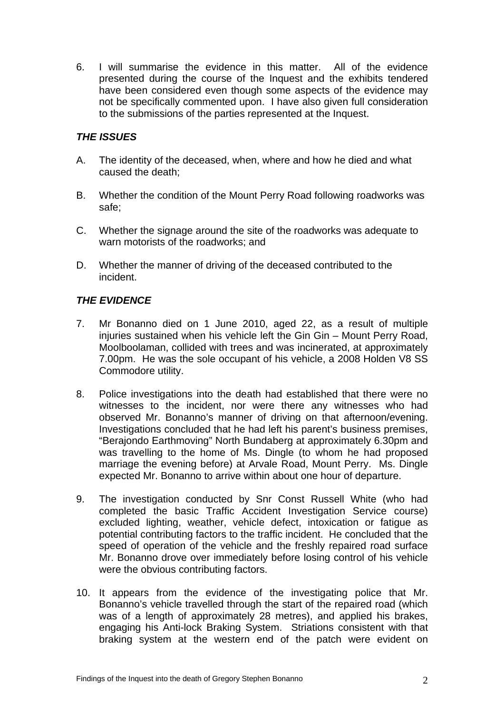6. I will summarise the evidence in this matter. All of the evidence presented during the course of the Inquest and the exhibits tendered have been considered even though some aspects of the evidence may not be specifically commented upon. I have also given full consideration to the submissions of the parties represented at the Inquest.

## *THE ISSUES*

- A. The identity of the deceased, when, where and how he died and what caused the death;
- B. Whether the condition of the Mount Perry Road following roadworks was safe;
- C. Whether the signage around the site of the roadworks was adequate to warn motorists of the roadworks; and
- D. Whether the manner of driving of the deceased contributed to the incident.

### *THE EVIDENCE*

- 7. Mr Bonanno died on 1 June 2010, aged 22, as a result of multiple injuries sustained when his vehicle left the Gin Gin – Mount Perry Road, Moolboolaman, collided with trees and was incinerated, at approximately 7.00pm. He was the sole occupant of his vehicle, a 2008 Holden V8 SS Commodore utility.
- 8. Police investigations into the death had established that there were no witnesses to the incident, nor were there any witnesses who had observed Mr. Bonanno's manner of driving on that afternoon/evening. Investigations concluded that he had left his parent's business premises, "Berajondo Earthmoving" North Bundaberg at approximately 6.30pm and was travelling to the home of Ms. Dingle (to whom he had proposed marriage the evening before) at Arvale Road, Mount Perry. Ms. Dingle expected Mr. Bonanno to arrive within about one hour of departure.
- 9. The investigation conducted by Snr Const Russell White (who had completed the basic Traffic Accident Investigation Service course) excluded lighting, weather, vehicle defect, intoxication or fatigue as potential contributing factors to the traffic incident. He concluded that the speed of operation of the vehicle and the freshly repaired road surface Mr. Bonanno drove over immediately before losing control of his vehicle were the obvious contributing factors.
- 10. It appears from the evidence of the investigating police that Mr. Bonanno's vehicle travelled through the start of the repaired road (which was of a length of approximately 28 metres), and applied his brakes, engaging his Anti-lock Braking System. Striations consistent with that braking system at the western end of the patch were evident on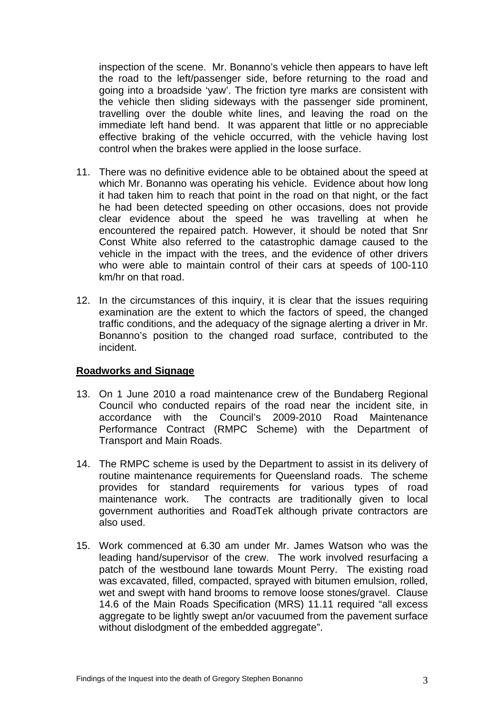inspection of the scene. Mr. Bonanno's vehicle then appears to have left the road to the left/passenger side, before returning to the road and going into a broadside 'yaw'. The friction tyre marks are consistent with the vehicle then sliding sideways with the passenger side prominent, travelling over the double white lines, and leaving the road on the immediate left hand bend. It was apparent that little or no appreciable effective braking of the vehicle occurred, with the vehicle having lost control when the brakes were applied in the loose surface.

- 11. There was no definitive evidence able to be obtained about the speed at which Mr. Bonanno was operating his vehicle. Evidence about how long it had taken him to reach that point in the road on that night, or the fact he had been detected speeding on other occasions, does not provide clear evidence about the speed he was travelling at when he encountered the repaired patch. However, it should be noted that Snr Const White also referred to the catastrophic damage caused to the vehicle in the impact with the trees, and the evidence of other drivers who were able to maintain control of their cars at speeds of 100-110 km/hr on that road.
- 12. In the circumstances of this inquiry, it is clear that the issues requiring examination are the extent to which the factors of speed, the changed traffic conditions, and the adequacy of the signage alerting a driver in Mr. Bonanno's position to the changed road surface, contributed to the incident.

#### **Roadworks and Signage**

- 13. On 1 June 2010 a road maintenance crew of the Bundaberg Regional Council who conducted repairs of the road near the incident site, in accordance with the Council's 2009-2010 Road Maintenance Performance Contract (RMPC Scheme) with the Department of Transport and Main Roads.
- 14. The RMPC scheme is used by the Department to assist in its delivery of routine maintenance requirements for Queensland roads. The scheme provides for standard requirements for various types of road maintenance work. The contracts are traditionally given to local government authorities and RoadTek although private contractors are also used.
- 15. Work commenced at 6.30 am under Mr. James Watson who was the leading hand/supervisor of the crew. The work involved resurfacing a patch of the westbound lane towards Mount Perry. The existing road was excavated, filled, compacted, sprayed with bitumen emulsion, rolled, wet and swept with hand brooms to remove loose stones/gravel. Clause 14.6 of the Main Roads Specification (MRS) 11.11 required "all excess aggregate to be lightly swept an/or vacuumed from the pavement surface without dislodgment of the embedded aggregate".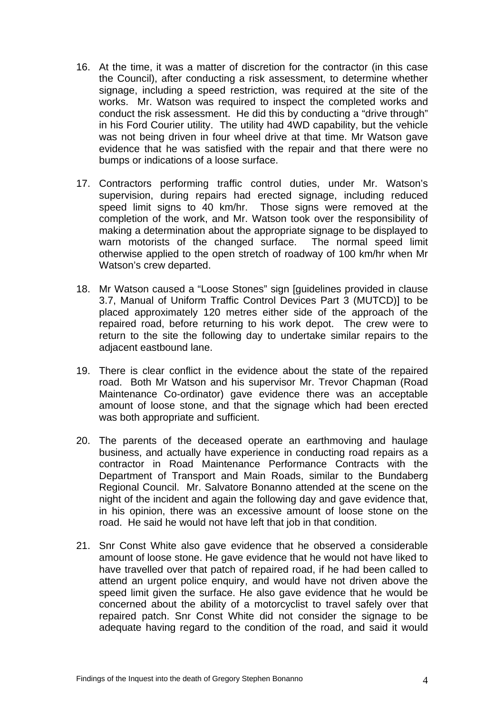- 16. At the time, it was a matter of discretion for the contractor (in this case the Council), after conducting a risk assessment, to determine whether signage, including a speed restriction, was required at the site of the works. Mr. Watson was required to inspect the completed works and conduct the risk assessment. He did this by conducting a "drive through" in his Ford Courier utility. The utility had 4WD capability, but the vehicle was not being driven in four wheel drive at that time. Mr Watson gave evidence that he was satisfied with the repair and that there were no bumps or indications of a loose surface.
- 17. Contractors performing traffic control duties, under Mr. Watson's supervision, during repairs had erected signage, including reduced speed limit signs to 40 km/hr. Those signs were removed at the completion of the work, and Mr. Watson took over the responsibility of making a determination about the appropriate signage to be displayed to warn motorists of the changed surface. The normal speed limit otherwise applied to the open stretch of roadway of 100 km/hr when Mr Watson's crew departed.
- 18. Mr Watson caused a "Loose Stones" sign [guidelines provided in clause 3.7, Manual of Uniform Traffic Control Devices Part 3 (MUTCD)] to be placed approximately 120 metres either side of the approach of the repaired road, before returning to his work depot. The crew were to return to the site the following day to undertake similar repairs to the adjacent eastbound lane.
- 19. There is clear conflict in the evidence about the state of the repaired road. Both Mr Watson and his supervisor Mr. Trevor Chapman (Road Maintenance Co-ordinator) gave evidence there was an acceptable amount of loose stone, and that the signage which had been erected was both appropriate and sufficient.
- 20. The parents of the deceased operate an earthmoving and haulage business, and actually have experience in conducting road repairs as a contractor in Road Maintenance Performance Contracts with the Department of Transport and Main Roads, similar to the Bundaberg Regional Council. Mr. Salvatore Bonanno attended at the scene on the night of the incident and again the following day and gave evidence that, in his opinion, there was an excessive amount of loose stone on the road. He said he would not have left that job in that condition.
- 21. Snr Const White also gave evidence that he observed a considerable amount of loose stone. He gave evidence that he would not have liked to have travelled over that patch of repaired road, if he had been called to attend an urgent police enquiry, and would have not driven above the speed limit given the surface. He also gave evidence that he would be concerned about the ability of a motorcyclist to travel safely over that repaired patch. Snr Const White did not consider the signage to be adequate having regard to the condition of the road, and said it would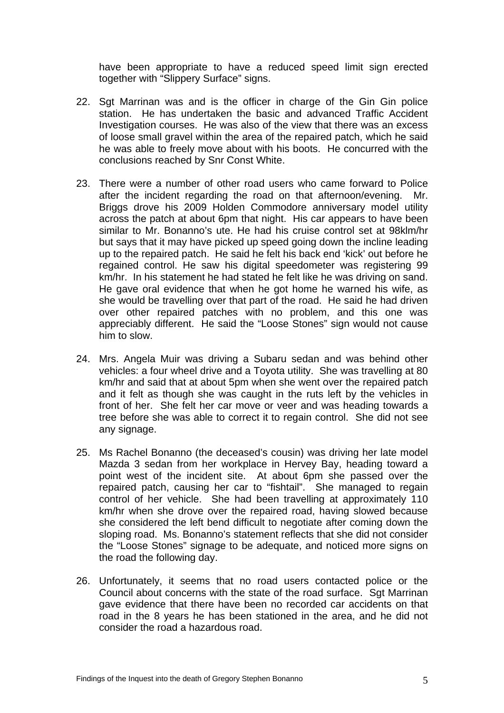have been appropriate to have a reduced speed limit sign erected together with "Slippery Surface" signs.

- 22. Sgt Marrinan was and is the officer in charge of the Gin Gin police station. He has undertaken the basic and advanced Traffic Accident Investigation courses. He was also of the view that there was an excess of loose small gravel within the area of the repaired patch, which he said he was able to freely move about with his boots. He concurred with the conclusions reached by Snr Const White.
- 23. There were a number of other road users who came forward to Police after the incident regarding the road on that afternoon/evening. Mr. Briggs drove his 2009 Holden Commodore anniversary model utility across the patch at about 6pm that night. His car appears to have been similar to Mr. Bonanno's ute. He had his cruise control set at 98klm/hr but says that it may have picked up speed going down the incline leading up to the repaired patch. He said he felt his back end 'kick' out before he regained control. He saw his digital speedometer was registering 99 km/hr. In his statement he had stated he felt like he was driving on sand. He gave oral evidence that when he got home he warned his wife, as she would be travelling over that part of the road. He said he had driven over other repaired patches with no problem, and this one was appreciably different. He said the "Loose Stones" sign would not cause him to slow.
- 24. Mrs. Angela Muir was driving a Subaru sedan and was behind other vehicles: a four wheel drive and a Toyota utility. She was travelling at 80 km/hr and said that at about 5pm when she went over the repaired patch and it felt as though she was caught in the ruts left by the vehicles in front of her. She felt her car move or veer and was heading towards a tree before she was able to correct it to regain control. She did not see any signage.
- 25. Ms Rachel Bonanno (the deceased's cousin) was driving her late model Mazda 3 sedan from her workplace in Hervey Bay, heading toward a point west of the incident site. At about 6pm she passed over the repaired patch, causing her car to "fishtail". She managed to regain control of her vehicle. She had been travelling at approximately 110 km/hr when she drove over the repaired road, having slowed because she considered the left bend difficult to negotiate after coming down the sloping road. Ms. Bonanno's statement reflects that she did not consider the "Loose Stones" signage to be adequate, and noticed more signs on the road the following day.
- 26. Unfortunately, it seems that no road users contacted police or the Council about concerns with the state of the road surface. Sgt Marrinan gave evidence that there have been no recorded car accidents on that road in the 8 years he has been stationed in the area, and he did not consider the road a hazardous road.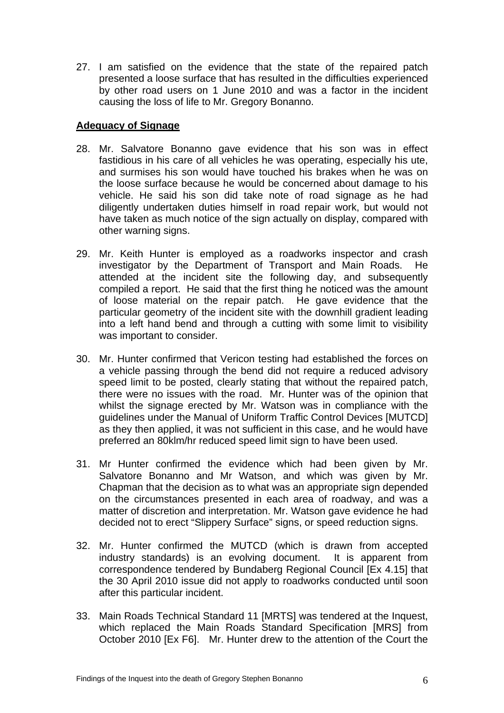27. I am satisfied on the evidence that the state of the repaired patch presented a loose surface that has resulted in the difficulties experienced by other road users on 1 June 2010 and was a factor in the incident causing the loss of life to Mr. Gregory Bonanno.

### **Adequacy of Signage**

- 28. Mr. Salvatore Bonanno gave evidence that his son was in effect fastidious in his care of all vehicles he was operating, especially his ute, and surmises his son would have touched his brakes when he was on the loose surface because he would be concerned about damage to his vehicle. He said his son did take note of road signage as he had diligently undertaken duties himself in road repair work, but would not have taken as much notice of the sign actually on display, compared with other warning signs.
- 29. Mr. Keith Hunter is employed as a roadworks inspector and crash investigator by the Department of Transport and Main Roads. He attended at the incident site the following day, and subsequently compiled a report. He said that the first thing he noticed was the amount of loose material on the repair patch. He gave evidence that the particular geometry of the incident site with the downhill gradient leading into a left hand bend and through a cutting with some limit to visibility was important to consider.
- 30. Mr. Hunter confirmed that Vericon testing had established the forces on a vehicle passing through the bend did not require a reduced advisory speed limit to be posted, clearly stating that without the repaired patch, there were no issues with the road. Mr. Hunter was of the opinion that whilst the signage erected by Mr. Watson was in compliance with the guidelines under the Manual of Uniform Traffic Control Devices [MUTCD] as they then applied, it was not sufficient in this case, and he would have preferred an 80klm/hr reduced speed limit sign to have been used.
- 31. Mr Hunter confirmed the evidence which had been given by Mr. Salvatore Bonanno and Mr Watson, and which was given by Mr. Chapman that the decision as to what was an appropriate sign depended on the circumstances presented in each area of roadway, and was a matter of discretion and interpretation. Mr. Watson gave evidence he had decided not to erect "Slippery Surface" signs, or speed reduction signs.
- 32. Mr. Hunter confirmed the MUTCD (which is drawn from accepted industry standards) is an evolving document. It is apparent from correspondence tendered by Bundaberg Regional Council [Ex 4.15] that the 30 April 2010 issue did not apply to roadworks conducted until soon after this particular incident.
- 33. Main Roads Technical Standard 11 [MRTS] was tendered at the Inquest, which replaced the Main Roads Standard Specification [MRS] from October 2010 [Ex F6]. Mr. Hunter drew to the attention of the Court the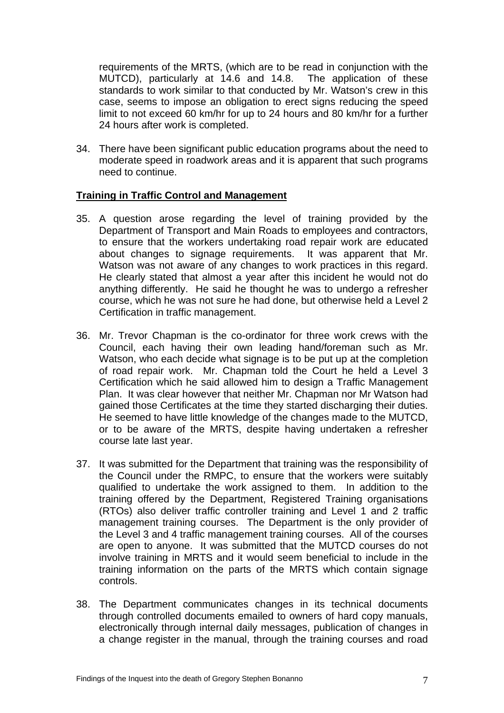requirements of the MRTS, (which are to be read in conjunction with the MUTCD), particularly at 14.6 and 14.8. The application of these standards to work similar to that conducted by Mr. Watson's crew in this case, seems to impose an obligation to erect signs reducing the speed limit to not exceed 60 km/hr for up to 24 hours and 80 km/hr for a further 24 hours after work is completed.

34. There have been significant public education programs about the need to moderate speed in roadwork areas and it is apparent that such programs need to continue.

#### **Training in Traffic Control and Management**

- 35. A question arose regarding the level of training provided by the Department of Transport and Main Roads to employees and contractors, to ensure that the workers undertaking road repair work are educated about changes to signage requirements. It was apparent that Mr. Watson was not aware of any changes to work practices in this regard. He clearly stated that almost a year after this incident he would not do anything differently. He said he thought he was to undergo a refresher course, which he was not sure he had done, but otherwise held a Level 2 Certification in traffic management.
- 36. Mr. Trevor Chapman is the co-ordinator for three work crews with the Council, each having their own leading hand/foreman such as Mr. Watson, who each decide what signage is to be put up at the completion of road repair work. Mr. Chapman told the Court he held a Level 3 Certification which he said allowed him to design a Traffic Management Plan. It was clear however that neither Mr. Chapman nor Mr Watson had gained those Certificates at the time they started discharging their duties. He seemed to have little knowledge of the changes made to the MUTCD, or to be aware of the MRTS, despite having undertaken a refresher course late last year.
- 37. It was submitted for the Department that training was the responsibility of the Council under the RMPC, to ensure that the workers were suitably qualified to undertake the work assigned to them. In addition to the training offered by the Department, Registered Training organisations (RTOs) also deliver traffic controller training and Level 1 and 2 traffic management training courses. The Department is the only provider of the Level 3 and 4 traffic management training courses. All of the courses are open to anyone. It was submitted that the MUTCD courses do not involve training in MRTS and it would seem beneficial to include in the training information on the parts of the MRTS which contain signage controls.
- 38. The Department communicates changes in its technical documents through controlled documents emailed to owners of hard copy manuals, electronically through internal daily messages, publication of changes in a change register in the manual, through the training courses and road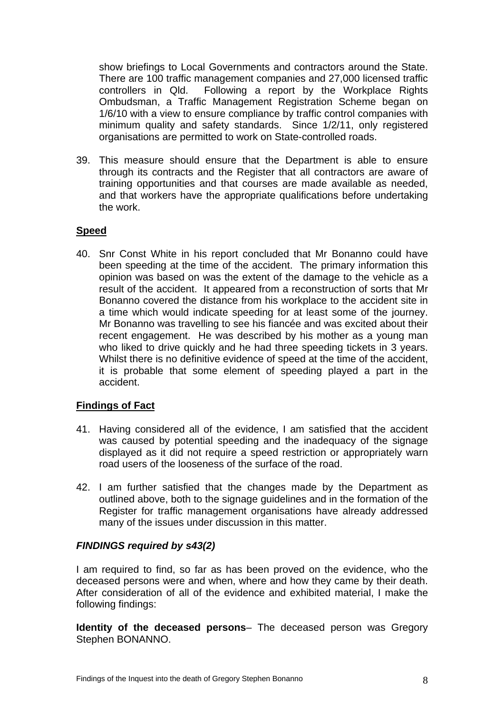show briefings to Local Governments and contractors around the State. There are 100 traffic management companies and 27,000 licensed traffic controllers in Qld. Following a report by the Workplace Rights Ombudsman, a Traffic Management Registration Scheme began on 1/6/10 with a view to ensure compliance by traffic control companies with minimum quality and safety standards. Since 1/2/11, only registered organisations are permitted to work on State-controlled roads.

39. This measure should ensure that the Department is able to ensure through its contracts and the Register that all contractors are aware of training opportunities and that courses are made available as needed, and that workers have the appropriate qualifications before undertaking the work.

#### **Speed**

40. Snr Const White in his report concluded that Mr Bonanno could have been speeding at the time of the accident. The primary information this opinion was based on was the extent of the damage to the vehicle as a result of the accident. It appeared from a reconstruction of sorts that Mr Bonanno covered the distance from his workplace to the accident site in a time which would indicate speeding for at least some of the journey. Mr Bonanno was travelling to see his fiancée and was excited about their recent engagement. He was described by his mother as a young man who liked to drive quickly and he had three speeding tickets in 3 years. Whilst there is no definitive evidence of speed at the time of the accident, it is probable that some element of speeding played a part in the accident.

#### **Findings of Fact**

- 41. Having considered all of the evidence, I am satisfied that the accident was caused by potential speeding and the inadequacy of the signage displayed as it did not require a speed restriction or appropriately warn road users of the looseness of the surface of the road.
- 42. I am further satisfied that the changes made by the Department as outlined above, both to the signage guidelines and in the formation of the Register for traffic management organisations have already addressed many of the issues under discussion in this matter.

#### *FINDINGS required by s43(2)*

I am required to find, so far as has been proved on the evidence, who the deceased persons were and when, where and how they came by their death. After consideration of all of the evidence and exhibited material, I make the following findings:

**Identity of the deceased persons**– The deceased person was Gregory Stephen BONANNO.